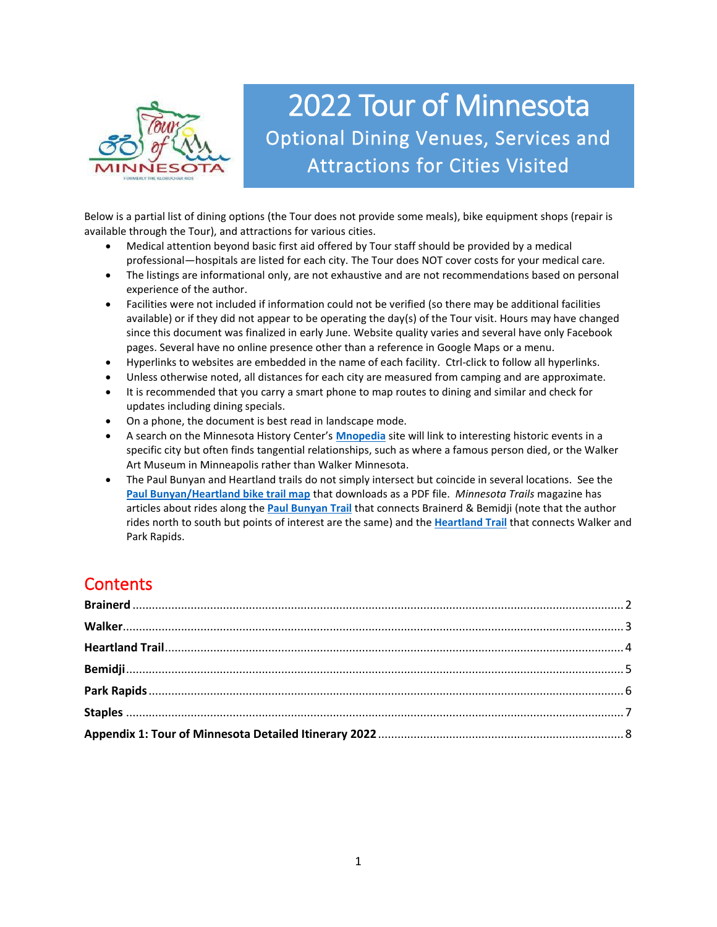

# 2022 Tour of Minnesota Optional Dining Venues, Services and Attractions for Cities Visited

Below is a partial list of dining options (the Tour does not provide some meals), bike equipment shops (repair is available through the Tour), and attractions for various cities.

- Medical attention beyond basic first aid offered by Tour staff should be provided by a medical professional—hospitals are listed for each city. The Tour does NOT cover costs for your medical care.
- The listings are informational only, are not exhaustive and are not recommendations based on personal experience of the author.
- Facilities were not included if information could not be verified (so there may be additional facilities available) or if they did not appear to be operating the day(s) of the Tour visit. Hours may have changed since this document was finalized in early June. Website quality varies and several have only Facebook pages. Several have no online presence other than a reference in Google Maps or a menu.
- Hyperlinks to websites are embedded in the name of each facility. Ctrl-click to follow all hyperlinks.
- Unless otherwise noted, all distances for each city are measured from camping and are approximate.
- It is recommended that you carry a smart phone to map routes to dining and similar and check for updates including dining specials.
- On a phone, the document is best read in landscape mode.
- A search on the Minnesota History Center's **[Mnopedia](https://www.mnopedia.org/)** site will link to interesting historic events in a specific city but often finds tangential relationships, such as where a famous person died, or the Walker Art Museum in Minneapolis rather than Walker Minnesota.
- The Paul Bunyan and Heartland trails do not simply intersect but coincide in several locations. See the **[Paul Bunyan/Heartland bike trail map](https://gdrs.dnr.state.mn.us/gdrs/apps/pub/us_mn_state_dnr/mndnr_geopdf_download/State_Trails/Paul%20Bunyan%20and%20Heartland%20GEO.pdf)** that downloads as a PDF file. *Minnesota Trails* magazine has articles about rides along the **[Paul Bunyan Trail](https://mntrails.com/a-tale-of-two-trails-paul-bunyan-state-trail/)** that connects Brainerd & Bemidji (note that the author rides north to south but points of interest are the same) and the **[Heartland Trail](https://mntrails.com/a-tale-of-two-trails-heartland-state-trail/)** that connects Walker and Park Rapids.

# **Contents**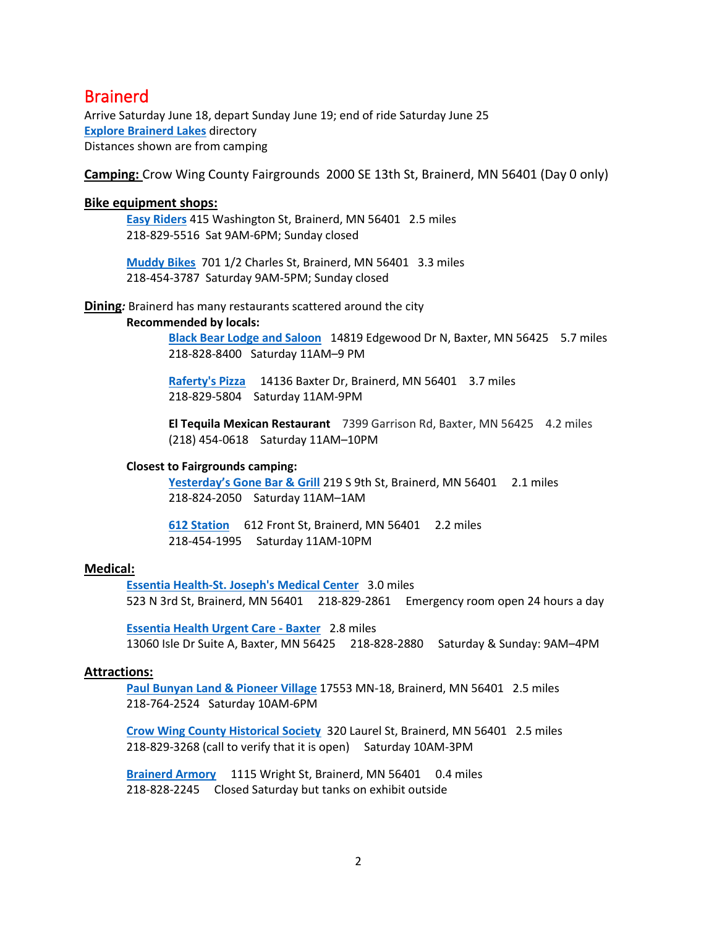### <span id="page-1-0"></span>Brainerd

Arrive Saturday June 18, depart Sunday June 19; end of ride Saturday June 25 **[Explore Brainerd Lakes](https://explorebrainerdlakes.com/)** directory Distances shown are from camping

**Camping:** Crow Wing County Fairgrounds 2000 SE 13th St, Brainerd, MN 56401 (Day 0 only)

### **Bike equipment shops:**

**[Easy Riders](https://www.easyridersbikes.com/)** 415 Washington St, Brainerd, MN 56401 2.5 miles 218-829-5516 Sat 9AM-6PM; Sunday closed

**[Muddy Bikes](https://www.muddybikesmn.com/)** 701 1/2 Charles St, Brainerd, MN 56401 3.3 miles 218-454-3787 Saturday 9AM-5PM; Sunday closed

**Dining***:* Brainerd has many restaurants scattered around the city

### **Recommended by locals:**

**[Black Bear Lodge and Saloon](https://www.blackbearlodgemn.com/)** 14819 Edgewood Dr N, Baxter, MN 56425 5.7 miles 218-828-8400 Saturday 11AM–9 PM

**[Raferty's Pizza](https://raffertyspizza.com/location/baxter-mall)** 14136 Baxter Dr, Brainerd, MN 564013.7 miles 218-829-5804 Saturday 11AM-9PM

**El Tequila Mexican Restaurant** 7399 Garrison Rd, Baxter, MN 56425 4.2 miles (218) 454-0618 Saturday 11AM–10PM

### **Closest to Fairgrounds camping:**

[Yesterday's Gone Bar & Grill](http://yesterdaysgonebar.com/)<sup>219</sup> S 9th St, Brainerd, MN 56401 2.1 miles 218-824-2050 Saturday 11AM–1AM

**[612 Station](http://612station.com/)** 612 Front St, Brainerd, MN 56401 2.2 miles 218-454-1995 Saturday 11AM-10PM

### **Medical:**

**[Essentia Health-St. Joseph's Medical Center](https://www.essentiahealth.org/find-facility/profile/essentia-health-st-josephs-medical-center-brainerd/)** 3.0 miles 523 N 3rd St, Brainerd, MN 56401 218-829-2861 Emergency room open 24 hours a day

**[Essentia Health Urgent Care -](https://www.essentiahealth.org/find-facility/profile/essentia-health-urgent-care-baxter/) Baxter** 2.8 miles 13060 Isle Dr Suite A, Baxter, MN 56425 218-828-2880 Saturday & Sunday: 9AM–4PM

### **Attractions:**

**Paul Bunyan Land [& Pioneer Village](https://paulbunyanland.com/)** 17553 MN-18, Brainerd, MN 56401 2.5 miles 218-764-2524 Saturday 10AM-6PM

**[Crow Wing County Historical Society](http://www.crowwinghistory.org/)** 320 Laurel St, Brainerd, MN 56401 2.5 miles 218-829-3268 (call to verify that it is open) Saturday 10AM-3PM

**[Brainerd Armory](https://ngmnpublic.azurewebsites.us/guard-celebrates-brainerd-armory-grand-opening/)** 1115 Wright St, Brainerd, MN 56401 0.4 miles 218-828-2245 Closed Saturday but tanks on exhibit outside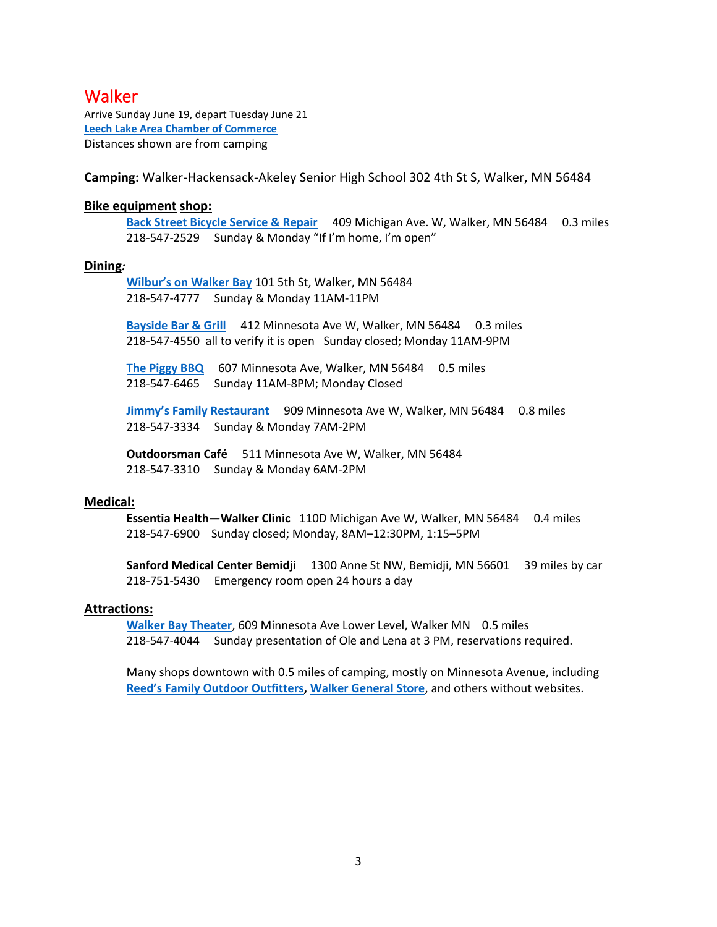### <span id="page-2-0"></span>**Walker**

Arrive Sunday June 19, depart Tuesday June 21 **[Leech Lake Area Chamber of Commerce](https://leech-lake.com/maps-travel/downtown-exploring/)** Distances shown are from camping

**Camping:** Walker-Hackensack-Akeley Senior High School 302 4th St S, Walker, MN 56484

### **Bike equipment shop:**

**[Back Street Bicycle Service & Repair](http://www.walkermnbicycleshop.com/)** 409 Michigan Ave. W, Walker, MN 56484 0.3 miles 218-547-2529 Sunday & Monday "If I'm home, I'm open"

### **Dining***:*

**[Wilbur's on Walker Bay](https://www.wilbursonwalkerbay.com/)** 101 5th St, Walker, MN 56484 218-547-4777 Sunday & Monday 11AM-11PM

**[Bayside Bar & Grill](https://www.facebook.com/Bayside-Bar-and-Grill-510713062312940/)** 412 Minnesota Ave W, Walker, MN 56484 0.3 miles 218-547-4550 all to verify it is open Sunday closed; Monday 11AM-9PM

**[The Piggy BBQ](https://www.thepiggylegendarybbq.com/)** 607 Minnesota Ave, Walker, MN 56484 0.5 miles 218-547-6465 Sunday 11AM-8PM; Monday Closed

**[Jimmy's Family Restaurant](https://www.facebook.com/JimmysWalkerMN/)** 909 Minnesota Ave W, Walker, MN 56484 0.8 miles 218-547-3334 Sunday & Monday 7AM-2PM

**Outdoorsman Café** 511 Minnesota Ave W, Walker, MN 56484 218-547-3310 Sunday & Monday 6AM-2PM

### **Medical:**

**Essentia Health—Walker Clinic** 110D Michigan Ave W, Walker, MN 56484 0.4 miles 218-547-6900 Sunday closed; Monday, 8AM–12:30PM, 1:15–5PM

**Sanford Medical Center Bemidji** 1300 Anne St NW, Bemidji, MN 56601 39 miles by car 218-751-5430 Emergency room open 24 hours a day

### **Attractions:**

**[Walker Bay Theater](http://minnesotafolkloretheater.org/home/our_season)**, 609 Minnesota Ave Lower Level, Walker MN 0.5 miles 218-547-4044 Sunday presentation of Ole and Lena at 3 PM, reservations required.

Many shops downtown with 0.5 miles of camping, mostly on Minnesota Avenue, including **[Reed's Family Ou](https://www.reedssports.com/)tdoor Outfitters, [Walker General Store](https://www.walkergeneralstore.com/)**, and others without websites.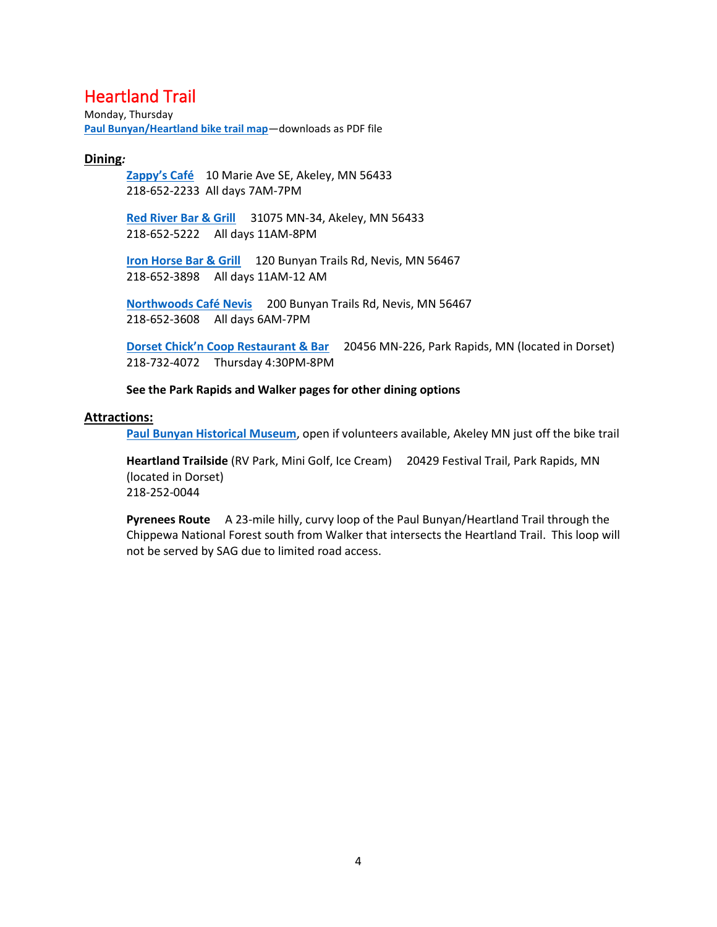# <span id="page-3-0"></span>Heartland Trail

Monday, Thursday **[Paul Bunyan/Heartland bike trail map](https://gdrs.dnr.state.mn.us/gdrs/apps/pub/us_mn_state_dnr/mndnr_geopdf_download/State_Trails/Paul%20Bunyan%20and%20Heartland%20GEO.pdf)**—downloads as PDF file

### **Dining***:*

**[Zappy's Café](http://places.singleplatform.com/zappys-cafe/menu?ref=google)** 10 Marie Ave SE, Akeley, MN 56433 218-652-2233 All days 7AM-7PM

**[Red River Bar & Grill](https://www.redriverevents.com/bar-grill/)** 31075 MN-34, Akeley, MN 56433 218-652-5222 All days 11AM-8PM

**[Iron Horse Bar & Grill](https://www.ironhorsenevis.com/)** 120 Bunyan Trails Rd, Nevis, MN 56467 218-652-3898 All days 11AM-12 AM

**[Northwoods Café Nevis](https://northwoodscafenevis.com/)** 200 Bunyan Trails Rd, Nevis, MN 56467 218-652-3608 All days 6AM-7PM

**Dorset Chick'[n Coop Restaurant & Bar](https://dorsetchicken.com/)** 20456 MN-226, Park Rapids, MN (located in Dorset) 218-732-4072 Thursday 4:30PM-8PM

**See the Park Rapids and Walker pages for other dining options**

### **Attractions:**

**[Paul Bunyan Historical Museum](http://www.akeleymn.com/pbhs/)**, open if volunteers available, Akeley MN just off the bike trail

**Heartland Trailside** (RV Park, Mini Golf, Ice Cream) 20429 Festival Trail, Park Rapids, MN (located in Dorset) 218-252-0044

**Pyrenees Route** A 23-mile hilly, curvy loop of the Paul Bunyan/Heartland Trail through the Chippewa National Forest south from Walker that intersects the Heartland Trail. This loop will not be served by SAG due to limited road access.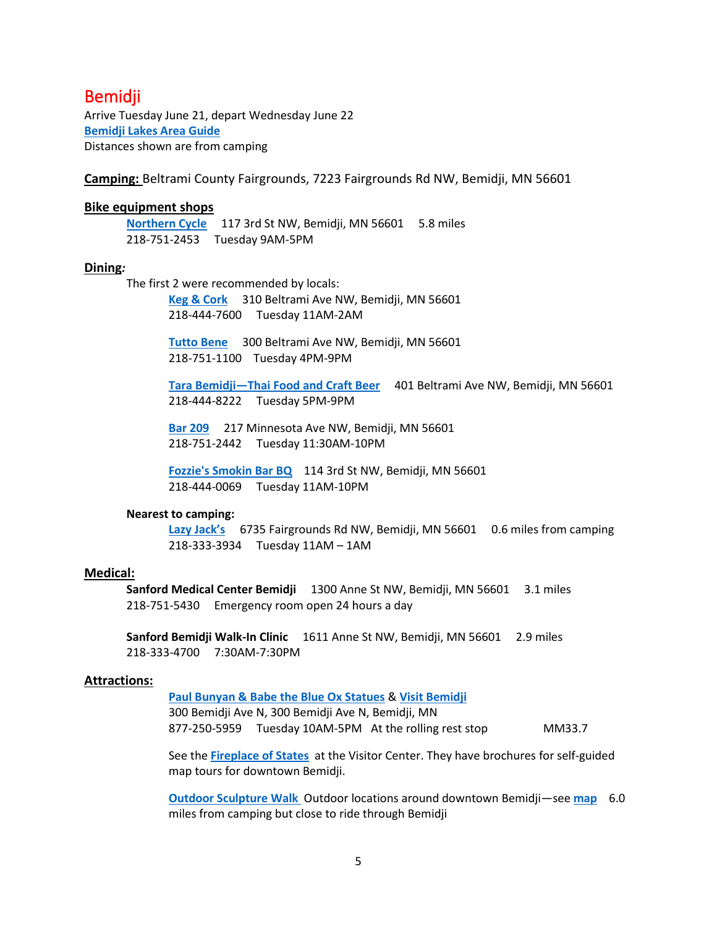### <span id="page-4-0"></span>**Bemidii**

Arrive Tuesday June 21, depart Wednesday June 22 **[Bemidji Lakes Area Guide](https://guide.bemidji.org/Bemidji-Lakes-Area-Guide/1/)** Distances shown are from camping

**Camping:** Beltrami County Fairgrounds, 7223 Fairgrounds Rd NW, Bemidji, MN 56601

### **Bike equipment shops**

**[Northern Cycle](http://www.northerncyclemn.com/)** 117 3rd St NW, Bemidji, MN 56601 5.8 miles 218-751-2453 Tuesday 9AM-5PM

#### **Dining***:*

The first 2 were recommended by locals:

**[Keg & Cork](http://kegncorkbemidjimn.com/)** 310 Beltrami Ave NW, Bemidji, MN 56601 218-444-7600 Tuesday 11AM-2AM

**Tutto [Bene](http://www.tuttobene.us/)** 300 Beltrami Ave NW, Bemidji, MN 56601 218-751-1100 Tuesday 4PM-9PM

**Tara Bemidji—[Thai Food and Craft Beer](http://www.tarabemidji.com/)** 401 Beltrami Ave NW, Bemidji, MN 56601 218-444-8222 Tuesday 5PM-9PM

**[Bar 209](https://bar209bemidji.com/)** 217 Minnesota Ave NW, Bemidji, MN 56601 218-751-2442 Tuesday 11:30AM-10PM

**[Fozzie's Smokin Bar BQ](http://fozziesbbq.com/)** 114 3rd St NW, Bemidji, MN 56601 218-444-0069 Tuesday 11AM-10PM

### **Nearest to camping:**

**[Lazy Jack's](https://www.facebook.com/LazyJacks/)** 6735 Fairgrounds Rd NW, Bemidji, MN 56601 0.6 miles from camping 218-333-3934 Tuesday 11AM – 1AM

### **Medical:**

**Sanford Medical Center Bemidji** 1300 Anne St NW, Bemidji, MN 56601 3.1 miles 218-751-5430 Emergency room open 24 hours a day

**Sanford Bemidji Walk-In Clinic** 1611 Anne St NW, Bemidji, MN 56601 2.9 miles 218-333-4700 7:30AM-7:30PM

### **Attractions:**

**[Paul Bunyan & Babe the Blue Ox Statues](https://www.visitbemidji.com/things-to-do/history-culture/paul-bunyan-babe/)** & **[Visit Bemidji](http://www.visitbemidji.com/)**  300 Bemidji Ave N, 300 Bemidji Ave N, Bemidji, MN 877-250-5959 Tuesday 10AM-5PM At the rolling rest stop MM33.7

See the **[Fireplace of States](https://www.mnopedia.org/thing/fireplace-states)** at the Visitor Center. They have brochures for self-guided map tours for downtown Bemidji.

**[Outdoor Sculpture Walk](https://www.bemidjisculpture.com/)** Outdoor locations around downtown Bemidji—see **[map](https://www.google.com/maps/d/viewer?mid=1SIpa-UccSRMNiHnzDKWA-BJJMOKHlI4-&ll=47.46833099058497%2C-94.8843582264389&z=16)** 6.0 miles from camping but close to ride through Bemidji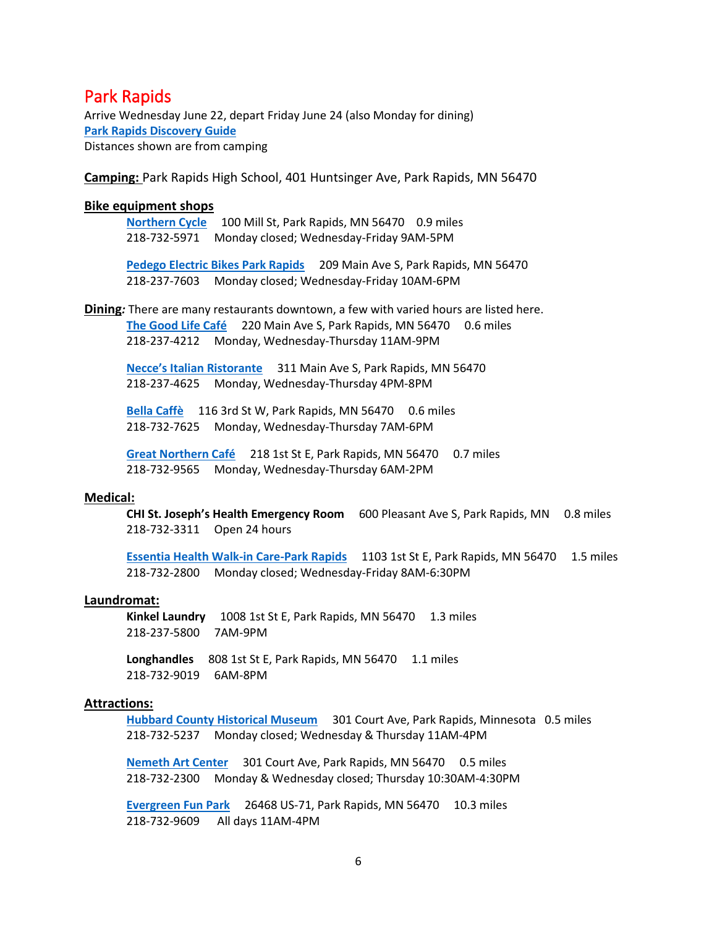### <span id="page-5-0"></span>Park Rapids

Arrive Wednesday June 22, depart Friday June 24 (also Monday for dining) **Park Rapids [Discovery Guide](https://parkrapids.com/discovery-guide)** Distances shown are from camping

**Camping:** Park Rapids High School, 401 Huntsinger Ave, Park Rapids, MN 56470

### **Bike equipment shops**

**[Northern](http://www.northerncyclemn.com/) Cycle** 100 Mill St, Park Rapids, MN 56470 0.9 miles 218-732-5971 Monday closed; Wednesday-Friday 9AM-5PM

**[Pedego Electric Bikes Park Rapids](https://www.pedegoelectricbikes.com/dealers/park-rapids/)** 209 Main Ave S, Park Rapids, MN 56470 218-237-7603 Monday closed; Wednesday-Friday 10AM-6PM

**Dining***:* There are many restaurants downtown, a few with varied hours are listed here. [The Good Life Café](https://www.thegoodlifecafepr.com/) 220 Main Ave S, Park Rapids, MN 56470 0.6 miles 218-237-4212 Monday, Wednesday-Thursday 11AM-9PM

**[Necce's Italian](http://www.necces.net/) Ristorante** 311 Main Ave S, Park Rapids, MN 56470 218-237-4625 Monday, Wednesday-Thursday 4PM-8PM

**[Bella Caffè](http://bellacaffeon3rd.com/)** 116 3rd St W, Park Rapids, MN 56470 0.6 miles 218-732-7625 Monday, Wednesday-Thursday 7AM-6PM

**[Great Northern Café](https://www.greatnortherncafe.com/)** 218 1st St E, Park Rapids, MN 56470 0.7 miles 218-732-9565 Monday, Wednesday-Thursday 6AM-2PM

#### **Medical:**

**CHI St. Joseph's Health Emergency Room** 600 Pleasant Ave S, Park Rapids, MN 0.8 miles 218-732-3311 Open 24 hours

**[Essentia Health Walk-in Care-Park Rapids](https://www.essentiahealth.org/services/walk-in-services/urgent-care/)** 1103 1st St E, Park Rapids, MN 56470 1.5 miles 218-732-2800 Monday closed; Wednesday-Friday 8AM-6:30PM

#### **Laundromat:**

**Kinkel Laundry** 1008 1st St E, Park Rapids, MN 56470 1.3 miles 218-237-5800 7AM-9PM

Longhandles 808 1st St E, Park Rapids, MN 56470 1.1 miles 218-732-9019 6AM-8PM

### **Attractions:**

**[Hubbard County Historical Museum](http://www.hubbardcountyhistory.org/)** 301 Court Ave, Park Rapids, Minnesota 0.5 miles 218-732-5237 Monday closed; Wednesday & Thursday 11AM-4PM

**[Nemeth Art Center](https://www.nemethartcenter.org/)** 301 Court Ave, Park Rapids, MN 56470 0.5 miles 218-732-2300 Monday & Wednesday closed; Thursday 10:30AM-4:30PM

**[Evergreen Fun Park](http://evergreenfunpark.com/)** 26468 US-71, Park Rapids, MN 56470 10.3 miles 218-732-9609 All days 11AM-4PM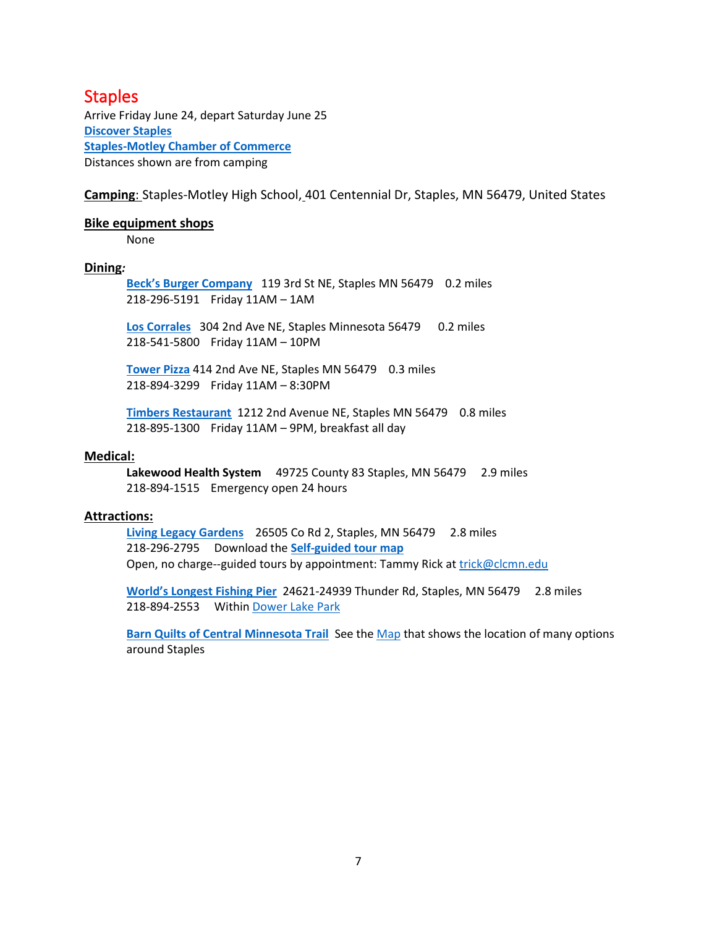### <span id="page-6-0"></span>**Staples**

Arrive Friday June 24, depart Saturday June 25 **[Discover Staples](https://discoverstaplesmn.org/?doing_wp_cron=1652369621.8027479648590087890625) [Staples-Motley Chamber of Commerce](https://staplesmotleychamber.org/business-directory/)** Distances shown are from camping

**Camping**: Staples-Motley High School, 401 Centennial Dr, Staples, MN 56479, United States

### **Bike equipment shops**

None

### **Dining***:*

**[Beck's Burger Company](https://www.facebook.com/becksburgerco/)** 119 3rd St NE, Staples MN 56479 0.2 miles 218-296-5191 Friday 11AM – 1AM

**[Los Corrales](https://www.facebook.com/loscorralesstaples/)** 304 2nd Ave NE, Staples Minnesota 56479 0.2 miles 218-541-5800 Friday 11AM – 10PM

**[Tower Pizza](https://www.facebook.com/TowerPizzaStaplesMN/about/?ref=page_internal)** 414 2nd Ave NE, Staples MN 56479 0.3 miles 218-894-3299 Friday 11AM – 8:30PM

**[Timbers Restaurant](http://www.timberlakehotel.com/timbers-restaurant/)** 1212 2nd Avenue NE, Staples MN 56479 0.8 miles 218-895-1300 Friday 11AM – 9PM, breakfast all day

### **Medical:**

Lakewood Health System 49725 County 83 Staples, MN 56479 2.9 miles 218-894-1515 Emergency open 24 hours

### **Attractions:**

**[Living Legacy Gardens](http://www.clcmn.edu/ag-energy-center/living-legacy-gardens/)** 26505 Co Rd 2, Staples, MN 56479 2.8 miles 218-296-2795 Download the **[Self-guided tour map](http://www.clcmn.edu/wp-content/uploads/2018/04/LLG-Map.pdf)** Open, no charge--guided tours by appointment: Tammy Rick at trick@clcmn.edu

**[World's Longest](https://www.onlyinyourstate.com/minnesota/longest-pier-mn/) Fishing Pier** 24621-24939 Thunder Rd, Staples, MN 56479 2.8 miles 218-894-2553 Withi[n Dower Lake Park](https://staples.govoffice.com/dower_lake)

**[Barn Quilts of Central Minnesota Trail](https://barnquiltsmn.org/)** See th[e Map](https://barnquiltsmn.org/trail-map/) that shows the location of many options around Staples